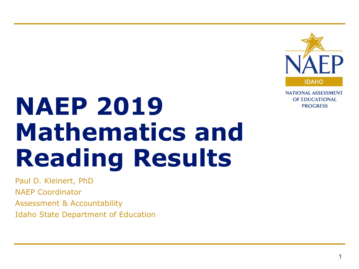

**NATIONAL ASSESSMENT** OF EDUCATIONAL **PROGRESS** 

# **NAEP 2019 Mathematics and Reading Results**

Paul D. Kleinert, PhD NAEP Coordinator Assessment & Accountability Idaho State Department of Education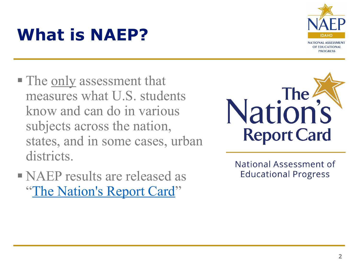## **What is NAEP?**



- The <u>only</u> assessment that measures what U.S. students know and can do in various subjects across the nation, states, and in some cases, urban districts.
- NAEP results are released as ["The Nation's Report Card](http://www.nationsreportcard.gov/)"



National Assessment of **Educational Progress**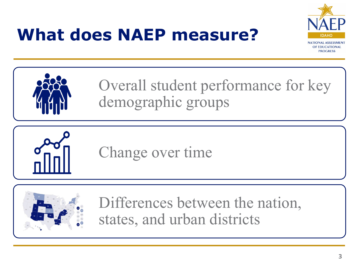## **What does NAEP measure?**





Overall student performance for key demographic groups



Change over time



Differences between the nation, states, and urban districts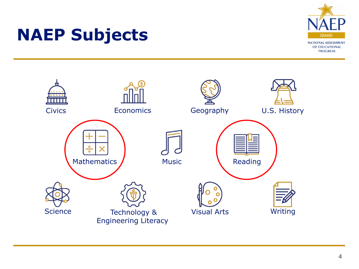

### **NAEP Subjects**

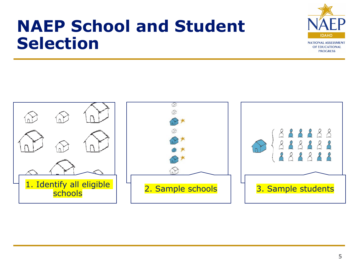### **NAEP School and Student Selection**



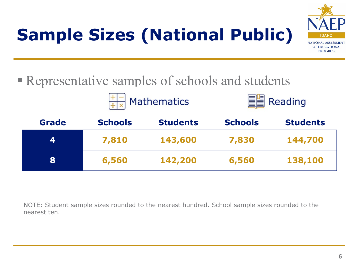# **Sample Sizes (National Public)**



### Representative samples of schools and students





| <b>Grade</b> | <b>Schools</b> | <b>Students</b> | <b>Schools</b> | <b>Students</b> |
|--------------|----------------|-----------------|----------------|-----------------|
| 4            | 7,810          | 143,600         | 7,830          | 144,700         |
| 8            | 6,560          | 142,200         | 6,560          | 138,100         |

NOTE: Student sample sizes rounded to the nearest hundred. School sample sizes rounded to the nearest ten.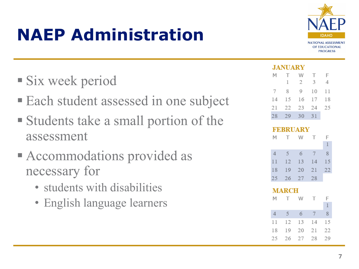## **NAEP Administration**



### Six week period

- **Each student assessed in one subject**
- Students take a small portion of the assessment
- Accommodations provided as necessary for
	- students with disabilities
	- English language learners

#### **JANUARY**

| M               | T.<br>1 | W<br>2 | $\top$<br>3 | F<br>4 |
|-----------------|---------|--------|-------------|--------|
| $7\phantom{.0}$ | 8       | 9      | 10          | 11     |
| 14              | 15      | 16     | 17          | 18     |
| 21              | 22      | 23     | 24          | 25     |
| 28              | 29      | 30     | 31          |        |

| <b>FEBRUARY</b> |                   |    |    |    |  |  |
|-----------------|-------------------|----|----|----|--|--|
| М               | T.                | W  | т  | F  |  |  |
|                 |                   |    |    | 1  |  |  |
| $\Delta$        | 5                 | 6  | 7  | 8  |  |  |
| 11              | 12                | 13 | 14 | 15 |  |  |
| 18              | 19                | 20 | 21 | 22 |  |  |
| 25              | 26                | 27 | 28 |    |  |  |
|                 |                   |    |    |    |  |  |
|                 |                   |    |    |    |  |  |
| М               | <b>MARCH</b><br>т | w  | т  | F  |  |  |
|                 |                   |    |    | 1  |  |  |
| $\overline{4}$  | 5                 | 6  | 7  | 8  |  |  |
| 11              | 12                | 13 | 14 | 15 |  |  |
| 18              | 19                | 20 | 21 | 22 |  |  |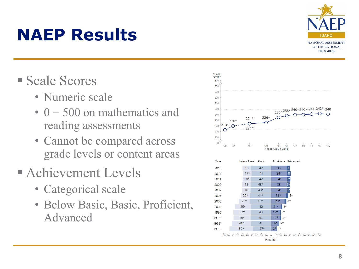

### **NAEP Results**

- Scale Scores
	- Numeric scale
	- 0 500 on mathematics and reading assessments
	- Cannot be compared across grade levels or content areas
- **Achievement Levels** 
	- Categorical scale
	- Below Basic, Basic, Proficient, Advanced



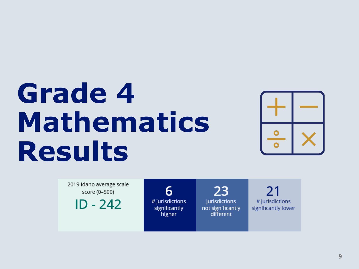# **Grade 4 Mathematics Results**



2019 Idaho average scale score (0-500)

 $ID - 242$ 

6 # jurisdictions significantly higher

23 jurisdictions not significantly different

21 # jurisdictions significantly lower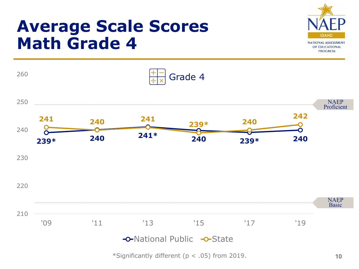### **Average Scale Scores Math Grade 4**





\*Significantly different ( $p < .05$ ) from 2019.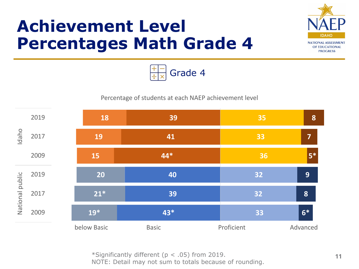### **Achievement Level Percentages Math Grade 4**





#### Percentage of students at each NAEP achievement level



\*Significantly different (p < .05) from 2019. NOTE: Detail may not sum to totals because of rounding.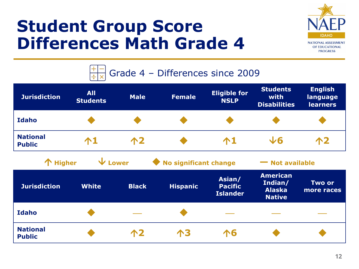### **Student Group Score Differences Math Grade 4**





| <b>Jurisdiction</b>              | <b>All</b><br><b>Students</b> | <b>Male</b>  | <b>Female</b>           | <b>Eligible for</b><br><b>NSLP</b>          | <b>Students</b><br>with<br><b>Disabilities</b>               | <b>English</b><br>language<br><b>learners</b> |
|----------------------------------|-------------------------------|--------------|-------------------------|---------------------------------------------|--------------------------------------------------------------|-----------------------------------------------|
| <b>Idaho</b>                     |                               |              |                         |                                             |                                                              |                                               |
| <b>National</b><br><b>Public</b> | $\bigwedge$                   | 个2           |                         | $\mathbf{\Lambda}1$                         | $\sqrt{6}$                                                   | 12                                            |
| 个 Higher                         | $\mathbf \Psi$ Lower          |              | ◆ No significant change |                                             | • Not available                                              |                                               |
| <b>Jurisdiction</b>              | <b>White</b>                  | <b>Black</b> | <b>Hispanic</b>         | Asian/<br><b>Pacific</b><br><b>Islander</b> | <b>American</b><br>Indian/<br><b>Alaska</b><br><b>Native</b> | <b>Two or</b><br>more races                   |
| <b>Idaho</b>                     |                               |              |                         |                                             |                                                              |                                               |
| <b>National</b><br><b>Public</b> |                               | 个2           | 个3                      | 个6                                          |                                                              |                                               |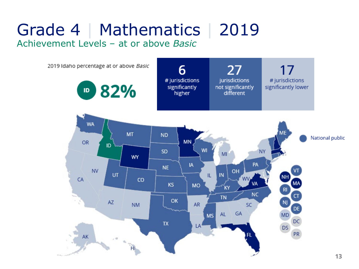### Grade 4 | Mathematics | 2019 Achievement Levels – at or above *Basic*

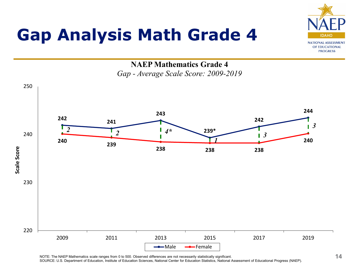## **Gap Analysis Math Grade 4**



**NAEP Mathematics Grade 4**  *Gap - Average Scale Score: 2009-2019*



NOTE: The NAEP Mathematics scale ranges from 0 to 500. Observed differences are not necessarily statistically significant. SOURCE: U.S. Department of Education, Institute of Education Sciences, National Center for Education Statistics, National Assessment of Educational Progress (NAEP).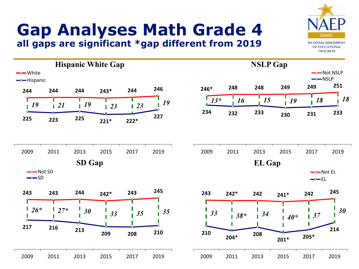# **Gap Analyses Math Grade 4**

**all gaps are significant \*gap different from 2019**

IDAHC **NATIONAL ASSESSMENT** OF EDUCATIONAL **PROGRESS** 

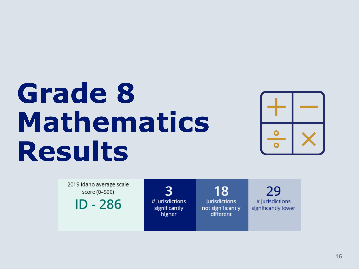# **Grade 8 Mathematics Results**



2019 Idaho average scale score (0-500)

 $ID - 286$ 

3 # jurisdictions significantly higher

18 jurisdictions not significantly different

29 # jurisdictions significantly lower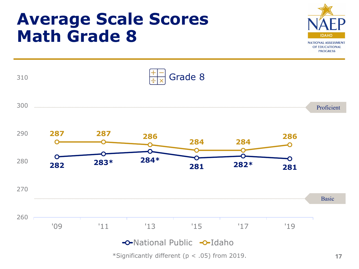### **Average Scale Scores Math Grade 8**





\*Significantly different ( $p < .05$ ) from 2019.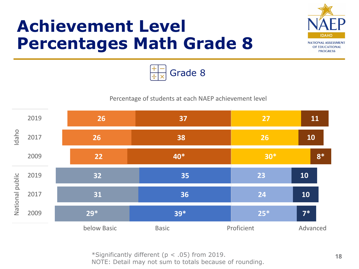### **Achievement Level Percentages Math Grade 8**





#### Percentage of students at each NAEP achievement level



\*Significantly different (p < .05) from 2019. NOTE: Detail may not sum to totals because of rounding.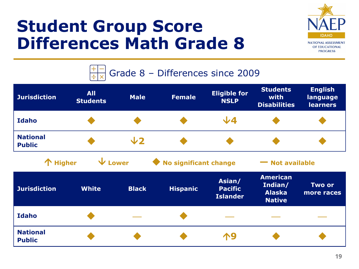### **Student Group Score Differences Math Grade 8**

![](_page_18_Picture_1.jpeg)

![](_page_18_Figure_2.jpeg)

| <b>Jurisdiction</b>              | <b>All</b><br><b>Students</b> | <b>Male</b>  | <b>Female</b>           | <b>Eligible for</b><br><b>NSLP</b>          | <b>Students</b><br>with<br><b>Disabilities</b>               | <b>English</b><br>language<br><b>learners</b> |
|----------------------------------|-------------------------------|--------------|-------------------------|---------------------------------------------|--------------------------------------------------------------|-----------------------------------------------|
| <b>Idaho</b>                     |                               |              |                         | $\sqrt{4}$                                  |                                                              |                                               |
| <b>National</b><br><b>Public</b> |                               | $\sqrt{2}$   |                         |                                             |                                                              |                                               |
| 个 Higher                         | $\overline{\mathbf{V}}$ Lower |              | ◆ No significant change |                                             | - Not available                                              |                                               |
| <b>Jurisdiction</b>              | <b>White</b>                  | <b>Black</b> | <b>Hispanic</b>         | Asian/<br><b>Pacific</b><br><b>Islander</b> | <b>American</b><br>Indian/<br><b>Alaska</b><br><b>Native</b> | Two or<br>more races                          |
| <b>Idaho</b>                     |                               |              |                         |                                             |                                                              |                                               |
| <b>National</b><br><b>Public</b> |                               |              |                         | <b>19</b>                                   |                                                              |                                               |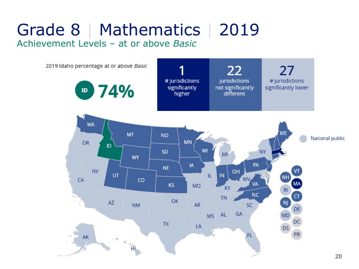### Grade 8 | Mathematics | 2019 Achievement Levels – at or above *Basic*

![](_page_19_Figure_1.jpeg)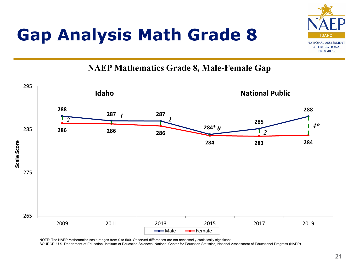## **Gap Analysis Math Grade 8**

![](_page_20_Picture_1.jpeg)

#### **NAEP Mathematics Grade 8, Male-Female Gap**

![](_page_20_Figure_3.jpeg)

NOTE: The NAEP Mathematics scale ranges from 0 to 500. Observed differences are not necessarily statistically significant.

SOURCE: U.S. Department of Education, Institute of Education Sciences, National Center for Education Statistics, National Assessment of Educational Progress (NAEP).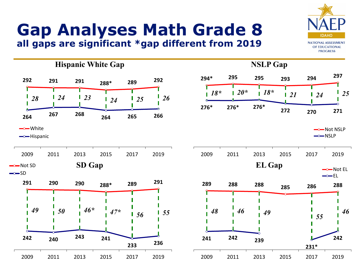# **Gap Analyses Math Grade 8**

**all gaps are significant \*gap different from 2019**

**Hispanic White Gap NSLP Gap 294\* <sup>295</sup> <sup>295</sup> <sup>293</sup> <sup>294</sup> <sup>297</sup> <sup>292</sup> <sup>291</sup> <sup>291</sup> 288\* <sup>289</sup> <sup>292</sup>** *18\* 20\* 18\* 21 24 25* П *28 24 23 24 25 26* **276\* 276\* 276\* 272 270 271 <sup>264</sup> <sup>267</sup> <sup>268</sup> <sup>264</sup> <sup>265</sup> <sup>266</sup>** —— White -O-Not NSLP  $\rightarrow$ NSLP  $\rightarrow$ Hispanic 2009 2011 2013 2015 2017 2019 2009 2011 2013 2015 2017 2019  $\rightarrow$ Not SD **SD Gap**  $EL\ Gap$   $\longrightarrow$  Not EL  $\rightarrow$ SD  $\rightarrow$  FL **<sup>291</sup> <sup>290</sup> <sup>290</sup> 288\* <sup>289</sup> <sup>291</sup> <sup>289</sup> <sup>288</sup> <sup>288</sup> <sup>285</sup> <sup>286</sup> <sup>288</sup>** *49 50 46\* 47\* <sup>48</sup> <sup>46</sup> <sup>49</sup> <sup>55</sup> 56 55 46* П **<sup>242</sup> <sup>240</sup> <sup>243</sup> <sup>241</sup> 242 <sup>241</sup> <sup>242</sup> <sup>239</sup> 233 236 231\*** 2009 2011 2013 2015 2017 2019 2009 2011 2013 2015 2017 2019

![](_page_21_Picture_3.jpeg)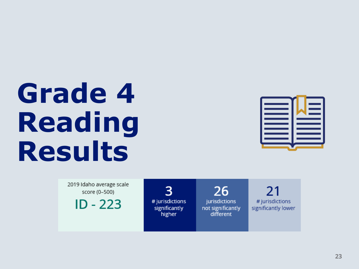# **Grade 4 Reading Results**

![](_page_22_Picture_1.jpeg)

2019 Idaho average scale score (0-500)

 $ID - 223$ 

3 # jurisdictions significantly higher

26 jurisdictions not significantly different

21 # jurisdictions significantly lower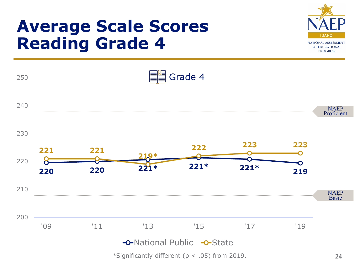### **Average Scale Scores Reading Grade 4**

![](_page_23_Picture_1.jpeg)

![](_page_23_Figure_2.jpeg)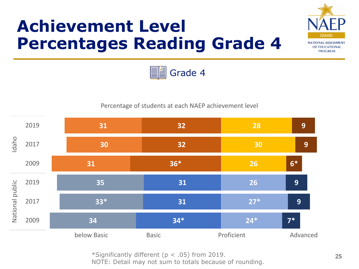## **Achievement Level Percentages Reading Grade 4**

![](_page_24_Picture_1.jpeg)

![](_page_24_Picture_2.jpeg)

#### Percentage of students at each NAEP achievement level

![](_page_24_Figure_4.jpeg)

\*Significantly different (p < .05) from 2019.

NOTE: Detail may not sum to totals because of rounding.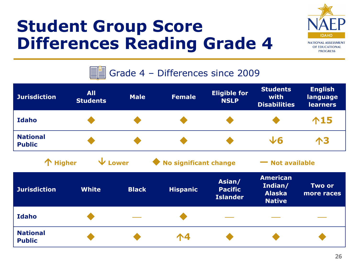## **Student Group Score Differences Reading Grade 4**

![](_page_25_Picture_1.jpeg)

![](_page_25_Figure_2.jpeg)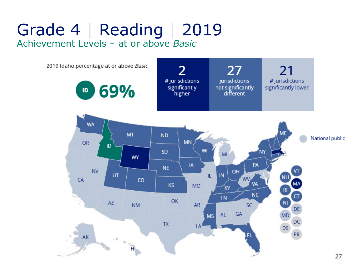### Grade 4 | Reading | 2019 Achievement Levels – at or above *Basic*

![](_page_26_Figure_1.jpeg)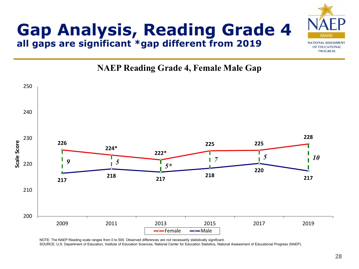![](_page_27_Picture_0.jpeg)

#### **Gap Analysis, Reading Grade 4 all gaps are significant \*gap different from 2019**

#### **NAEP Reading Grade 4, Female Male Gap**

![](_page_27_Figure_3.jpeg)

NOTE: The NAEP Reading scale ranges from 0 to 500. Observed differences are not necessarily statistically significant.

SOURCE: U.S. Department of Education, Institute of Education Sciences, National Center for Education Statistics, National Assessment of Educational Progress (NAEP).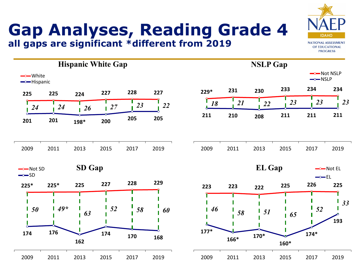#### **Gap Analyses, Reading Grade 4 all gaps are significant \*different from 2019**

![](_page_28_Picture_1.jpeg)

![](_page_28_Figure_2.jpeg)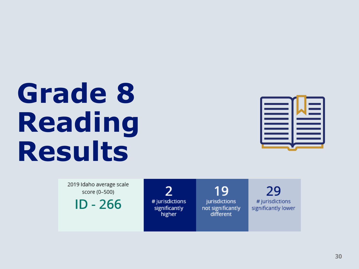# **Grade 8 Reading Results**

![](_page_29_Picture_1.jpeg)

2019 Idaho average scale score (0-500)

 $ID - 266$ 

 $\mathcal{P}$ # jurisdictions significantly higher

19 jurisdictions not significantly different

29 # jurisdictions significantly lower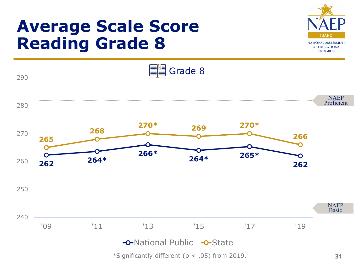### **Average Scale Score Reading Grade 8**

![](_page_30_Picture_1.jpeg)

![](_page_30_Figure_2.jpeg)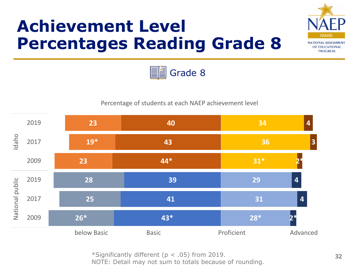## **Achievement Level Percentages Reading Grade 8**

![](_page_31_Picture_1.jpeg)

![](_page_31_Picture_2.jpeg)

#### Percentage of students at each NAEP achievement level

![](_page_31_Figure_4.jpeg)

\*Significantly different (p < .05) from 2019.

NOTE: Detail may not sum to totals because of rounding.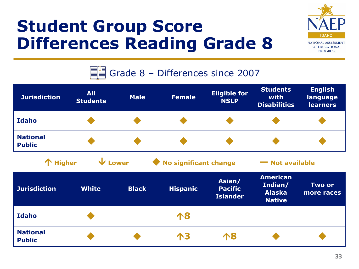## **Student Group Score Differences Reading Grade 8**

![](_page_32_Picture_1.jpeg)

![](_page_32_Figure_2.jpeg)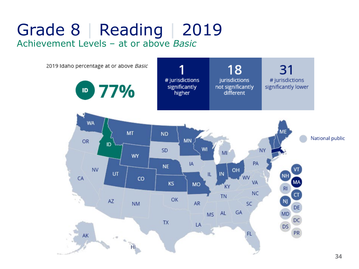### Grade 8 | Reading | 2019 Achievement Levels – at or above *Basic*

![](_page_33_Figure_1.jpeg)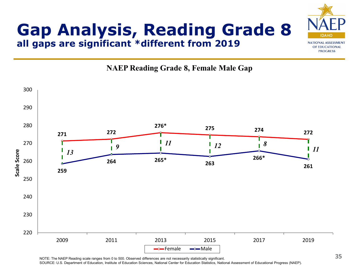### **Gap Analysis, Reading Grade 8 all gaps are significant \*different from 2019**

![](_page_34_Picture_1.jpeg)

**NAEP Reading Grade 8, Female Male Gap**

![](_page_34_Figure_3.jpeg)

NOTE: The NAEP Reading scale ranges from 0 to 500. Observed differences are not necessarily statistically significant.

SOURCE: U.S. Department of Education, Institute of Education Sciences, National Center for Education Statistics, National Assessment of Educational Progress (NAEP).